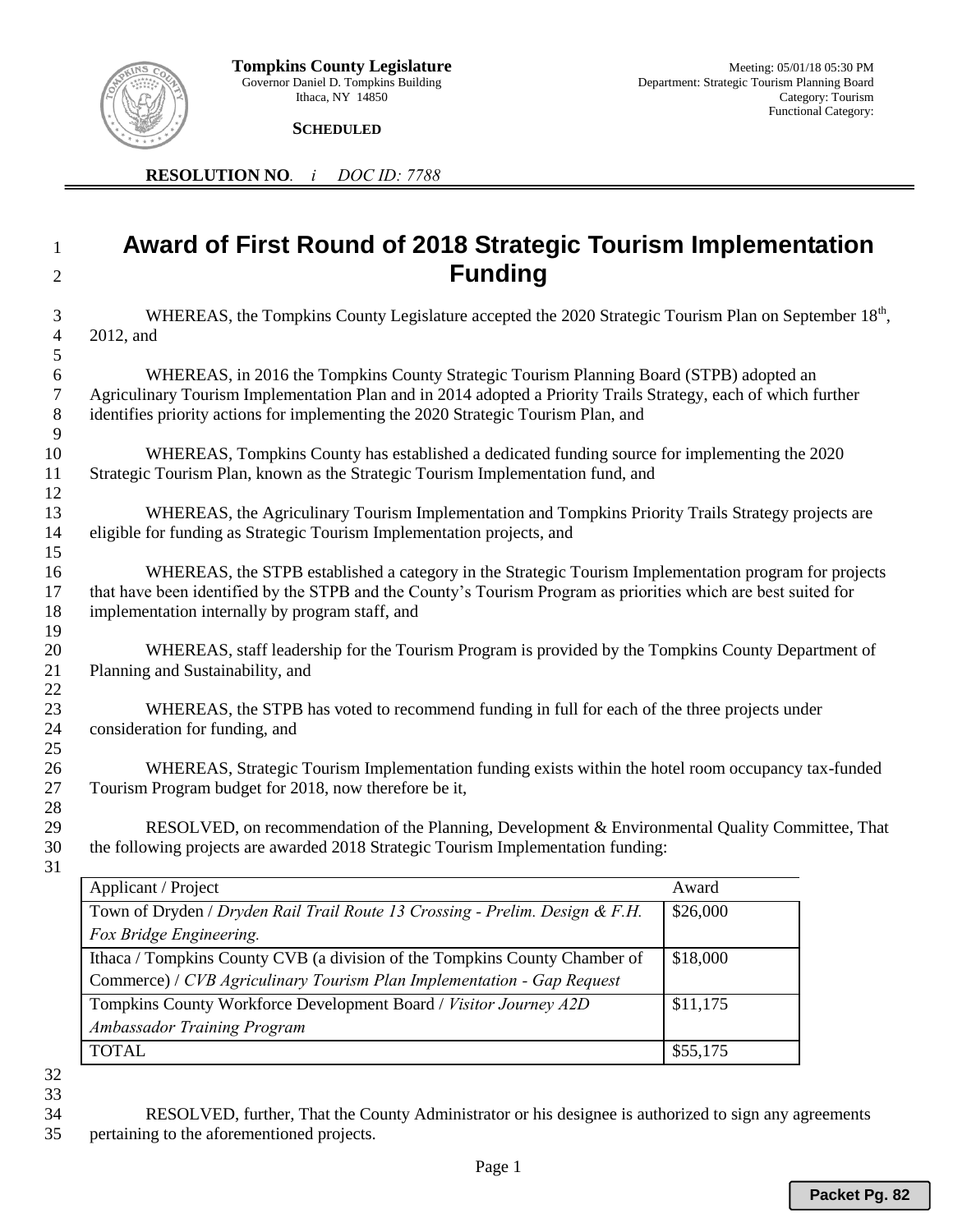

 **SCHEDULED** 

**RESOLUTION NO***. i DOC ID: 7788*

## **Award of First Round of 2018 Strategic Tourism Implementation Funding**

| 3<br>4<br>$\sqrt{5}$           | WHEREAS, the Tompkins County Legislature accepted the 2020 Strategic Tourism Plan on September 18 <sup>th</sup> ,<br>2012, and                                                                                                                                                                 |          |  |
|--------------------------------|------------------------------------------------------------------------------------------------------------------------------------------------------------------------------------------------------------------------------------------------------------------------------------------------|----------|--|
| $\sqrt{6}$<br>7<br>$\, 8$<br>9 | WHEREAS, in 2016 the Tompkins County Strategic Tourism Planning Board (STPB) adopted an<br>Agriculinary Tourism Implementation Plan and in 2014 adopted a Priority Trails Strategy, each of which further<br>identifies priority actions for implementing the 2020 Strategic Tourism Plan, and |          |  |
| 10<br>11<br>12                 | WHEREAS, Tompkins County has established a dedicated funding source for implementing the 2020<br>Strategic Tourism Plan, known as the Strategic Tourism Implementation fund, and                                                                                                               |          |  |
| 13<br>14<br>15                 | WHEREAS, the Agriculinary Tourism Implementation and Tompkins Priority Trails Strategy projects are<br>eligible for funding as Strategic Tourism Implementation projects, and                                                                                                                  |          |  |
| 16<br>17<br>18                 | WHEREAS, the STPB established a category in the Strategic Tourism Implementation program for projects<br>that have been identified by the STPB and the County's Tourism Program as priorities which are best suited for<br>implementation internally by program staff, and                     |          |  |
| 19<br>20<br>21<br>22           | WHEREAS, staff leadership for the Tourism Program is provided by the Tompkins County Department of<br>Planning and Sustainability, and                                                                                                                                                         |          |  |
| 23<br>24<br>25                 | WHEREAS, the STPB has voted to recommend funding in full for each of the three projects under<br>consideration for funding, and                                                                                                                                                                |          |  |
| 26<br>27<br>28                 | WHEREAS, Strategic Tourism Implementation funding exists within the hotel room occupancy tax-funded<br>Tourism Program budget for 2018, now therefore be it,                                                                                                                                   |          |  |
| 29<br>30<br>31                 | RESOLVED, on recommendation of the Planning, Development & Environmental Quality Committee, That<br>the following projects are awarded 2018 Strategic Tourism Implementation funding:                                                                                                          |          |  |
|                                | Applicant / Project                                                                                                                                                                                                                                                                            | Award    |  |
|                                | Town of Dryden / Dryden Rail Trail Route 13 Crossing - Prelim. Design & F.H.<br>Fox Bridge Engineering.                                                                                                                                                                                        | \$26,000 |  |
|                                | Ithaca / Tompkins County CVB (a division of the Tompkins County Chamber of<br>Commerce) / CVB Agriculinary Tourism Plan Implementation - Gap Request                                                                                                                                           | \$18,000 |  |
|                                | Tompkins County Workforce Development Board / Visitor Journey A2D                                                                                                                                                                                                                              | \$11,175 |  |

*Ambassador Training Program*

 RESOLVED, further, That the County Administrator or his designee is authorized to sign any agreements pertaining to the aforementioned projects.

 $\text{TOTAL}$  \$55,175